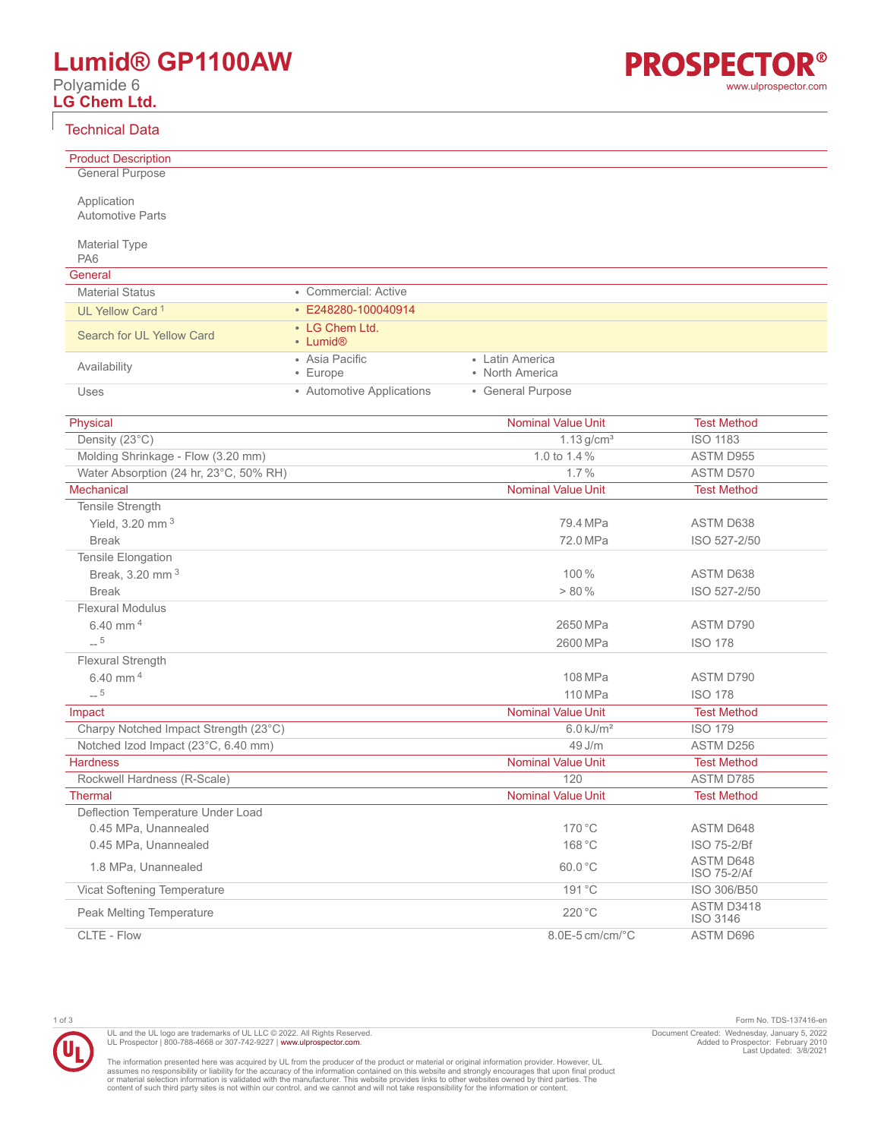# **Lumid® GP1100AW**

Polyamide 6 **LG Chem Ltd.**

#### Technical Data

| שיש וויוטעו שענט                                     |                           |                                     |                                 |
|------------------------------------------------------|---------------------------|-------------------------------------|---------------------------------|
| <b>Product Description</b>                           |                           |                                     |                                 |
| <b>General Purpose</b>                               |                           |                                     |                                 |
|                                                      |                           |                                     |                                 |
| Application<br><b>Automotive Parts</b>               |                           |                                     |                                 |
|                                                      |                           |                                     |                                 |
| <b>Material Type</b>                                 |                           |                                     |                                 |
| PA <sub>6</sub>                                      |                           |                                     |                                 |
| General                                              |                           |                                     |                                 |
| <b>Material Status</b>                               | • Commercial: Active      |                                     |                                 |
| UL Yellow Card <sup>1</sup>                          | $\cdot$ E248280-100040914 |                                     |                                 |
| Search for UL Yellow Card                            | • LG Chem Ltd.            |                                     |                                 |
|                                                      | • Lumid <sup>®</sup>      |                                     |                                 |
| Availability                                         | • Asia Pacific            | • Latin America                     |                                 |
|                                                      | • Europe                  | • North America                     |                                 |
| Uses                                                 | • Automotive Applications | • General Purpose                   |                                 |
|                                                      |                           |                                     |                                 |
| Physical                                             |                           | <b>Nominal Value Unit</b>           | <b>Test Method</b>              |
| Density (23°C)                                       |                           | $1.13$ g/cm <sup>3</sup>            | <b>ISO 1183</b>                 |
| Molding Shrinkage - Flow (3.20 mm)                   |                           | 1.0 to 1.4 %<br>1.7%                | ASTM D955                       |
| Water Absorption (24 hr, 23°C, 50% RH)<br>Mechanical |                           | <b>Nominal Value Unit</b>           | ASTM D570<br><b>Test Method</b> |
|                                                      |                           |                                     |                                 |
| Tensile Strength                                     |                           | 79.4 MPa                            | ASTM D638                       |
| Yield, 3.20 mm <sup>3</sup><br><b>Break</b>          |                           | 72.0 MPa                            |                                 |
| Tensile Elongation                                   |                           |                                     | ISO 527-2/50                    |
| Break, 3.20 mm <sup>3</sup>                          |                           | 100%                                | ASTM D638                       |
| <b>Break</b>                                         |                           | > 80%                               | ISO 527-2/50                    |
| <b>Flexural Modulus</b>                              |                           |                                     |                                 |
| 6.40 mm $4$                                          |                           | 2650 MPa                            | ASTM D790                       |
| $-5$                                                 |                           | 2600 MPa                            | <b>ISO 178</b>                  |
| Flexural Strength                                    |                           |                                     |                                 |
| 6.40 mm <sup>4</sup>                                 |                           |                                     |                                 |
| $-5$                                                 |                           | 108 MPa                             | ASTM D790                       |
|                                                      |                           | 110 MPa                             | <b>ISO 178</b>                  |
| Impact                                               |                           | <b>Nominal Value Unit</b>           | <b>Test Method</b>              |
| Charpy Notched Impact Strength (23°C)                |                           | $6.0$ kJ/m <sup>2</sup>             | <b>ISO 179</b>                  |
| Notched Izod Impact (23°C, 6.40 mm)                  |                           | 49 J/m<br><b>Nominal Value Unit</b> | ASTM D256                       |
| <b>Hardness</b><br>Rockwell Hardness (R-Scale)       |                           | 120                                 | <b>Test Method</b><br>ASTM D785 |
|                                                      |                           | <b>Nominal Value Unit</b>           | <b>Test Method</b>              |
| <b>Thermal</b><br>Deflection Temperature Under Load  |                           |                                     |                                 |
| 0.45 MPa, Unannealed                                 |                           | 170 °C                              | ASTM D648                       |
| 0.45 MPa, Unannealed                                 |                           | 168 °C                              | ISO 75-2/Bf                     |
|                                                      |                           |                                     | ASTM D648                       |
| 1.8 MPa, Unannealed                                  |                           | 60.0 °C                             | ISO 75-2/Af                     |
| Vicat Softening Temperature                          |                           | 191 °C                              | ISO 306/B50                     |
| Peak Melting Temperature                             |                           | 220 °C                              | ASTM D3418<br>ISO 3146          |
| CLTE - Flow                                          |                           | 8.0E-5 cm/cm/°C                     | ASTM D696                       |

1 of 3 Form No. TDS-137416-en Document Created: Wednesday, January 5, 2022 Added to Prospector: February 2010 Last Updated: 3/8/2021

The information presented here was acquired by UL from the producer of the product or material or original information provider. However, UL<br>assumes no responsibility or liability for the accuracy of the information contai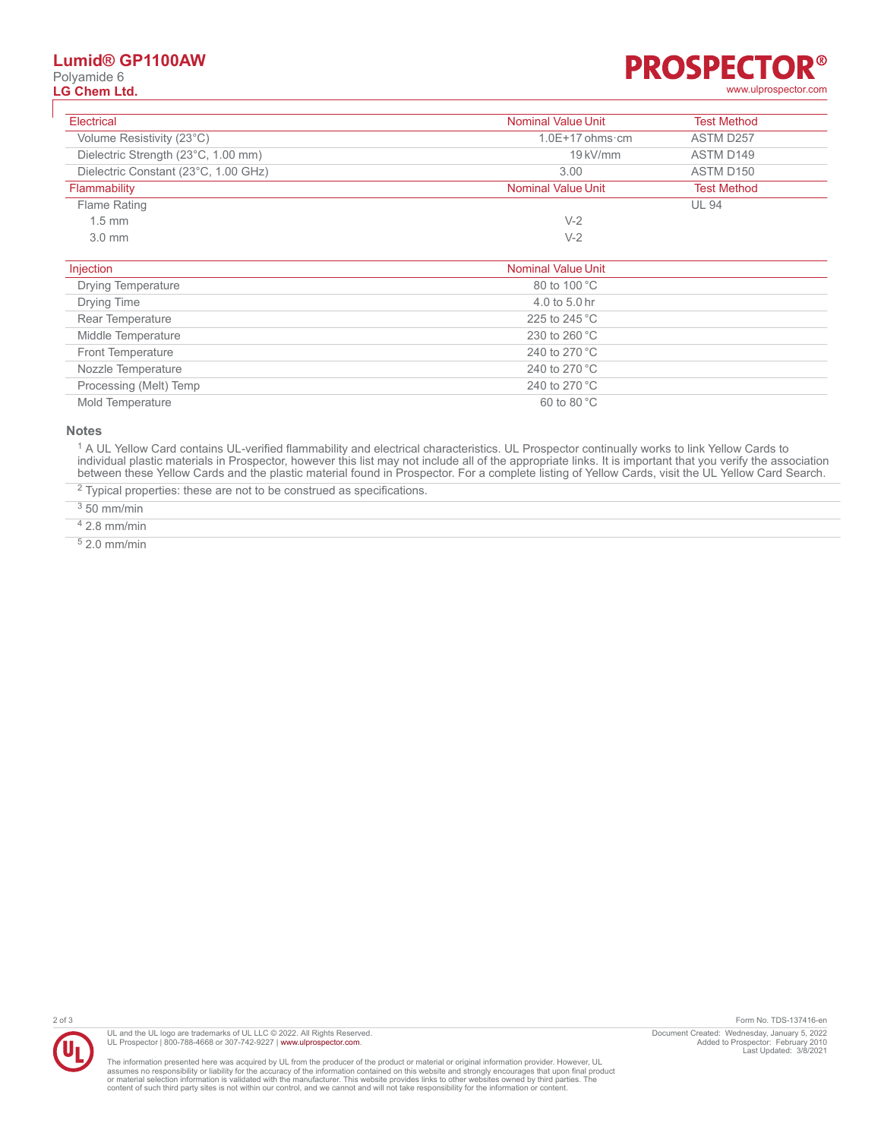### **Lumid® GP1100AW**

Polyamide 6<br>LG Chem Ltd.

#### R® **PROSPECTO LG Chem Ltd.** [www.ulprospector.com](http://www.ulprospector.com)

| Electrical                           | <b>Nominal Value Unit</b> | <b>Test Method</b> |
|--------------------------------------|---------------------------|--------------------|
| Volume Resistivity (23°C)            | $1.0E+17$ ohms cm         | ASTM D257          |
| Dielectric Strength (23°C, 1.00 mm)  | $19$ kV/mm                | ASTM D149          |
| Dielectric Constant (23°C, 1.00 GHz) | 3.00                      | ASTM D150          |
| Flammability                         | <b>Nominal Value Unit</b> | <b>Test Method</b> |
| Flame Rating                         |                           | <b>UL 94</b>       |
| $1.5$ mm                             | $V-2$                     |                    |
| $3.0$ mm                             | $V-2$                     |                    |

| Injection                 | <b>Nominal Value Unit</b> |
|---------------------------|---------------------------|
| <b>Drying Temperature</b> | 80 to 100 °C              |
| Drying Time               | 4.0 to 5.0 hr             |
| Rear Temperature          | 225 to 245 °C             |
| Middle Temperature        | 230 to 260 °C             |
| <b>Front Temperature</b>  | 240 to 270 °C             |
| Nozzle Temperature        | 240 to 270 °C             |
| Processing (Melt) Temp    | 240 to 270 °C             |
| Mold Temperature          | $60$ to $80^{\circ}$ C    |

#### **Notes**

<sup>1</sup> A UL Yellow Card contains UL-verified flammability and electrical characteristics. UL Prospector continually works to link Yellow Cards to individual plastic materials in Prospector, however this list may not include all of the appropriate links. It is important that you verify the association between these Yellow Cards and the plastic material found in Prospector. For a complete listing of Yellow Cards, visit the UL Yellow Card Search.

 $2$  Typical properties: these are not to be construed as specifications.

 $350$  mm/min

4 2.8 mm/min

5 2.0 mm/min



UL and the UL logo are trademarks of UL LLC © 2022. All Rights Reserved. UL Prospector | 800-788-4668 or 307-742-9227 | [www.ulprospector.com](http://www.ulprospector.com).

The information presented here was acquired by UL from the producer of the product or material or original information provider. However, UL<br>assumes no responsibility or liability for the accuracy of the information contai